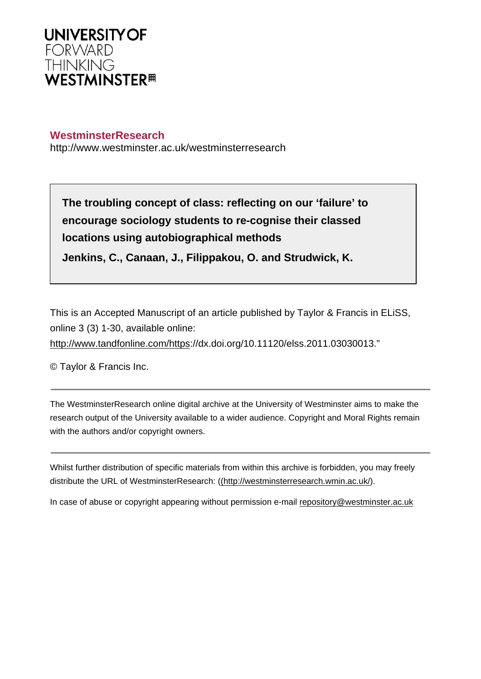

## **WestminsterResearch**

http://www.westminster.ac.uk/westminsterresearch

**The troubling concept of class: reflecting on our 'failure' to encourage sociology students to re-cognise their classed locations using autobiographical methods**

**Jenkins, C., Canaan, J., Filippakou, O. and Strudwick, K.**

This is an Accepted Manuscript of an article published by Taylor & Francis in ELiSS, online 3 (3) 1-30, available online:

<http://www.tandfonline.com/https>://dx.doi.org/10.11120/elss.2011.03030013."

© Taylor & Francis Inc.

The WestminsterResearch online digital archive at the University of Westminster aims to make the research output of the University available to a wider audience. Copyright and Moral Rights remain with the authors and/or copyright owners.

Whilst further distribution of specific materials from within this archive is forbidden, you may freely distribute the URL of WestminsterResearch: [\(\(http://westminsterresearch.wmin.ac.uk/](http://westminsterresearch.wmin.ac.uk/)).

In case of abuse or copyright appearing without permission e-mail <repository@westminster.ac.uk>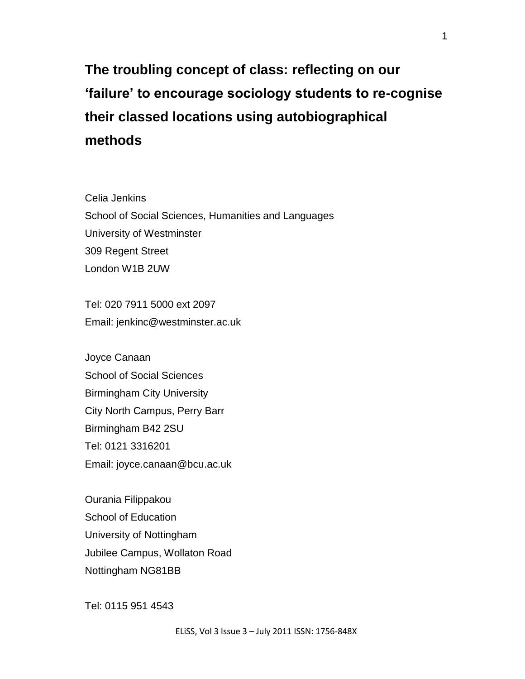# **The troubling concept of class: reflecting on our 'failure' to encourage sociology students to re-cognise their classed locations using autobiographical methods**

Celia Jenkins School of Social Sciences, Humanities and Languages University of Westminster 309 Regent Street London W1B 2UW

Tel: 020 7911 5000 ext 2097 Email: jenkinc@westminster.ac.uk

Joyce Canaan School of Social Sciences Birmingham City University City North Campus, Perry Barr Birmingham B42 2SU Tel: 0121 3316201 Email: joyce.canaan@bcu.ac.uk

Ourania Filippakou School of Education University of Nottingham Jubilee Campus, Wollaton Road Nottingham NG81BB

Tel: 0115 951 4543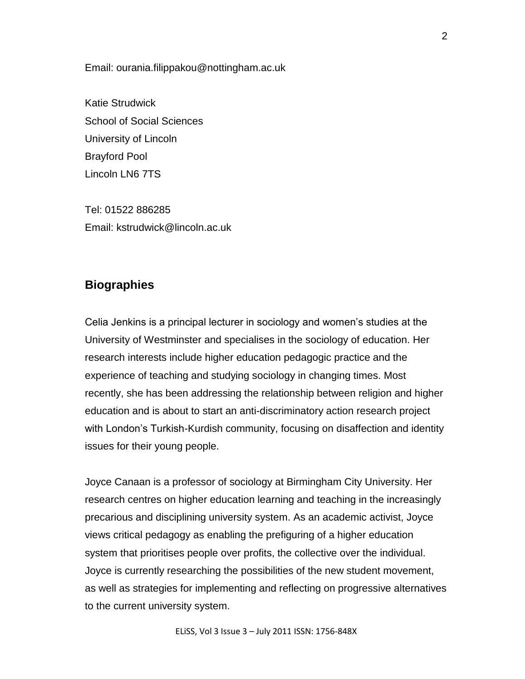Email: ourania.filippakou@nottingham.ac.uk

Katie Strudwick School of Social Sciences University of Lincoln Brayford Pool Lincoln LN6 7TS

Tel: 01522 886285 Email: kstrudwick@lincoln.ac.uk

# **Biographies**

Celia Jenkins is a principal lecturer in sociology and women"s studies at the University of Westminster and specialises in the sociology of education. Her research interests include higher education pedagogic practice and the experience of teaching and studying sociology in changing times. Most recently, she has been addressing the relationship between religion and higher education and is about to start an anti-discriminatory action research project with London's Turkish-Kurdish community, focusing on disaffection and identity issues for their young people.

Joyce Canaan is a professor of sociology at Birmingham City University. Her research centres on higher education learning and teaching in the increasingly precarious and disciplining university system. As an academic activist, Joyce views critical pedagogy as enabling the prefiguring of a higher education system that prioritises people over profits, the collective over the individual. Joyce is currently researching the possibilities of the new student movement, as well as strategies for implementing and reflecting on progressive alternatives to the current university system.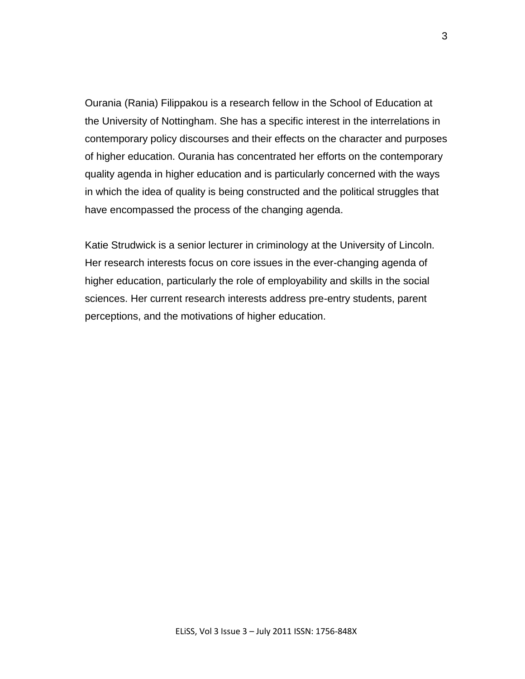Ourania (Rania) Filippakou is a research fellow in the School of Education at the University of Nottingham. She has a specific interest in the interrelations in contemporary policy discourses and their effects on the character and purposes of higher education. Ourania has concentrated her efforts on the contemporary quality agenda in higher education and is particularly concerned with the ways in which the idea of quality is being constructed and the political struggles that have encompassed the process of the changing agenda.

Katie Strudwick is a senior lecturer in criminology at the University of Lincoln. Her research interests focus on core issues in the ever-changing agenda of higher education, particularly the role of employability and skills in the social sciences. Her current research interests address pre-entry students, parent perceptions, and the motivations of higher education.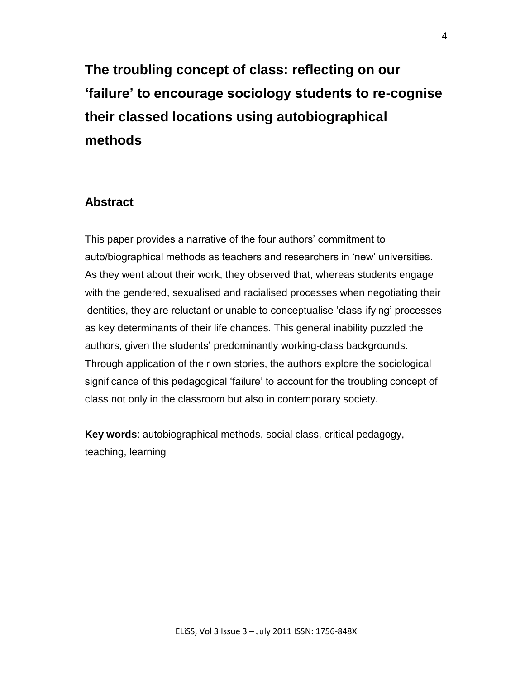**The troubling concept of class: reflecting on our 'failure' to encourage sociology students to re-cognise their classed locations using autobiographical methods** 

# **Abstract**

This paper provides a narrative of the four authors' commitment to auto/biographical methods as teachers and researchers in "new" universities. As they went about their work, they observed that, whereas students engage with the gendered, sexualised and racialised processes when negotiating their identities, they are reluctant or unable to conceptualise "class-ifying" processes as key determinants of their life chances. This general inability puzzled the authors, given the students' predominantly working-class backgrounds. Through application of their own stories, the authors explore the sociological significance of this pedagogical "failure" to account for the troubling concept of class not only in the classroom but also in contemporary society.

**Key words**: autobiographical methods, social class, critical pedagogy, teaching, learning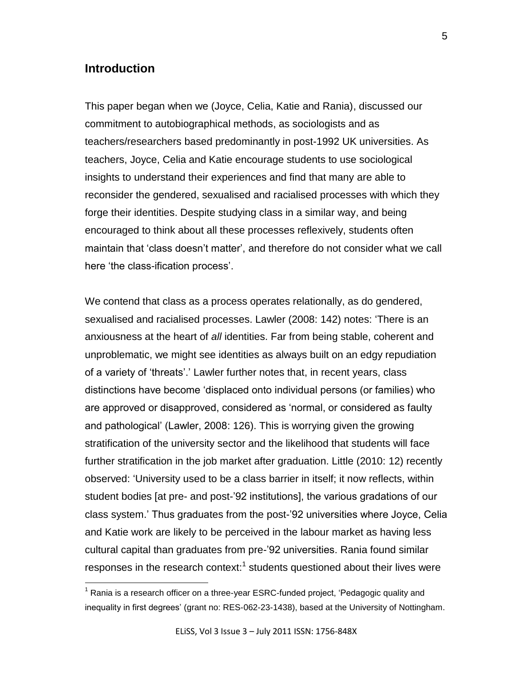### **Introduction**

 $\overline{a}$ 

This paper began when we (Joyce, Celia, Katie and Rania), discussed our commitment to autobiographical methods, as sociologists and as teachers/researchers based predominantly in post-1992 UK universities. As teachers, Joyce, Celia and Katie encourage students to use sociological insights to understand their experiences and find that many are able to reconsider the gendered, sexualised and racialised processes with which they forge their identities. Despite studying class in a similar way, and being encouraged to think about all these processes reflexively, students often maintain that "class doesn"t matter", and therefore do not consider what we call here 'the class-ification process'.

We contend that class as a process operates relationally, as do gendered, sexualised and racialised processes. Lawler (2008: 142) notes: "There is an anxiousness at the heart of *all* identities. Far from being stable, coherent and unproblematic, we might see identities as always built on an edgy repudiation of a variety of "threats"." Lawler further notes that, in recent years, class distinctions have become "displaced onto individual persons (or families) who are approved or disapproved, considered as "normal, or considered as faulty and pathological" (Lawler, 2008: 126). This is worrying given the growing stratification of the university sector and the likelihood that students will face further stratification in the job market after graduation. Little (2010: 12) recently observed: "University used to be a class barrier in itself; it now reflects, within student bodies [at pre- and post-'92 institutions], the various gradations of our class system." Thus graduates from the post-"92 universities where Joyce, Celia and Katie work are likely to be perceived in the labour market as having less cultural capital than graduates from pre-"92 universities. Rania found similar responses in the research context: $1$  students questioned about their lives were

 $1$  Rania is a research officer on a three-year ESRC-funded project, 'Pedagogic quality and inequality in first degrees" (grant no: RES-062-23-1438), based at the University of Nottingham.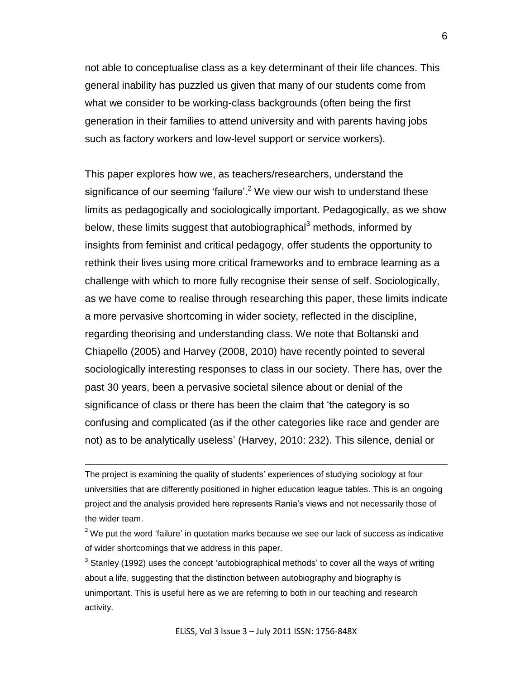not able to conceptualise class as a key determinant of their life chances. This general inability has puzzled us given that many of our students come from what we consider to be working-class backgrounds (often being the first generation in their families to attend university and with parents having jobs such as factory workers and low-level support or service workers).

This paper explores how we, as teachers/researchers, understand the significance of our seeming 'failure'.<sup>2</sup> We view our wish to understand these limits as pedagogically and sociologically important. Pedagogically, as we show below, these limits suggest that autobiographical<sup>3</sup> methods, informed by insights from feminist and critical pedagogy, offer students the opportunity to rethink their lives using more critical frameworks and to embrace learning as a challenge with which to more fully recognise their sense of self. Sociologically, as we have come to realise through researching this paper, these limits indicate a more pervasive shortcoming in wider society, reflected in the discipline, regarding theorising and understanding class. We note that Boltanski and Chiapello (2005) and Harvey (2008, 2010) have recently pointed to several sociologically interesting responses to class in our society. There has, over the past 30 years, been a pervasive societal silence about or denial of the significance of class or there has been the claim that "the category is so confusing and complicated (as if the other categories like race and gender are not) as to be analytically useless" (Harvey, 2010: 232). This silence, denial or

The project is examining the quality of students" experiences of studying sociology at four universities that are differently positioned in higher education league tables. This is an ongoing project and the analysis provided here represents Rania"s views and not necessarily those of the wider team.

 $\overline{a}$ 

 $3$  Stanley (1992) uses the concept 'autobiographical methods' to cover all the ways of writing about a life, suggesting that the distinction between autobiography and biography is unimportant. This is useful here as we are referring to both in our teaching and research activity.

ELiSS, Vol 3 Issue 3 – July 2011 ISSN: 1756-848X

 $2$  We put the word 'failure' in quotation marks because we see our lack of success as indicative of wider shortcomings that we address in this paper.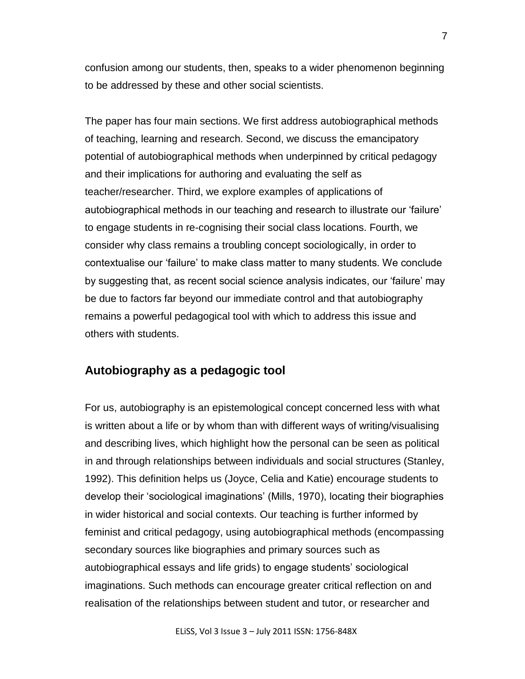confusion among our students, then, speaks to a wider phenomenon beginning to be addressed by these and other social scientists.

The paper has four main sections. We first address autobiographical methods of teaching, learning and research. Second, we discuss the emancipatory potential of autobiographical methods when underpinned by critical pedagogy and their implications for authoring and evaluating the self as teacher/researcher. Third, we explore examples of applications of autobiographical methods in our teaching and research to illustrate our "failure" to engage students in re-cognising their social class locations. Fourth, we consider why class remains a troubling concept sociologically, in order to contextualise our "failure" to make class matter to many students. We conclude by suggesting that, as recent social science analysis indicates, our "failure" may be due to factors far beyond our immediate control and that autobiography remains a powerful pedagogical tool with which to address this issue and others with students.

## **Autobiography as a pedagogic tool**

For us, autobiography is an epistemological concept concerned less with what is written about a life or by whom than with different ways of writing/visualising and describing lives, which highlight how the personal can be seen as political in and through relationships between individuals and social structures (Stanley, 1992). This definition helps us (Joyce, Celia and Katie) encourage students to develop their "sociological imaginations" (Mills, 1970), locating their biographies in wider historical and social contexts. Our teaching is further informed by feminist and critical pedagogy, using autobiographical methods (encompassing secondary sources like biographies and primary sources such as autobiographical essays and life grids) to engage students" sociological imaginations. Such methods can encourage greater critical reflection on and realisation of the relationships between student and tutor, or researcher and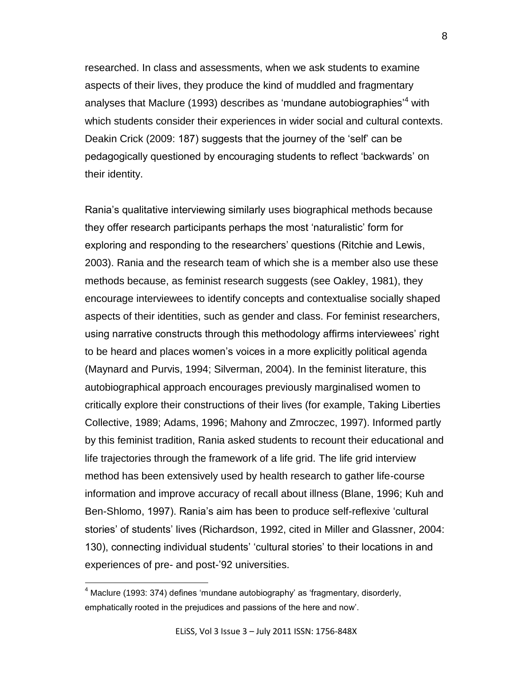researched. In class and assessments, when we ask students to examine aspects of their lives, they produce the kind of muddled and fragmentary analyses that Maclure (1993) describes as 'mundane autobiographies'<sup>4</sup> with which students consider their experiences in wider social and cultural contexts. Deakin Crick (2009: 187) suggests that the journey of the "self" can be pedagogically questioned by encouraging students to reflect "backwards" on their identity.

Rania"s qualitative interviewing similarly uses biographical methods because they offer research participants perhaps the most "naturalistic" form for exploring and responding to the researchers' questions (Ritchie and Lewis, 2003). Rania and the research team of which she is a member also use these methods because, as feminist research suggests (see Oakley, 1981), they encourage interviewees to identify concepts and contextualise socially shaped aspects of their identities, such as gender and class. For feminist researchers, using narrative constructs through this methodology affirms interviewees" right to be heard and places women"s voices in a more explicitly political agenda (Maynard and Purvis, 1994; Silverman, 2004). In the feminist literature, this autobiographical approach encourages previously marginalised women to critically explore their constructions of their lives (for example, Taking Liberties Collective, 1989; Adams, 1996; Mahony and Zmroczec, 1997). Informed partly by this feminist tradition, Rania asked students to recount their educational and life trajectories through the framework of a life grid. The life grid interview method has been extensively used by health research to gather life-course information and improve accuracy of recall about illness (Blane, 1996; Kuh and Ben-Shlomo, 1997). Rania's aim has been to produce self-reflexive 'cultural stories' of students' lives (Richardson, 1992, cited in Miller and Glassner, 2004: 130), connecting individual students' 'cultural stories' to their locations in and experiences of pre- and post-'92 universities.

 $4$  Maclure (1993: 374) defines 'mundane autobiography' as 'fragmentary, disorderly, emphatically rooted in the prejudices and passions of the here and now".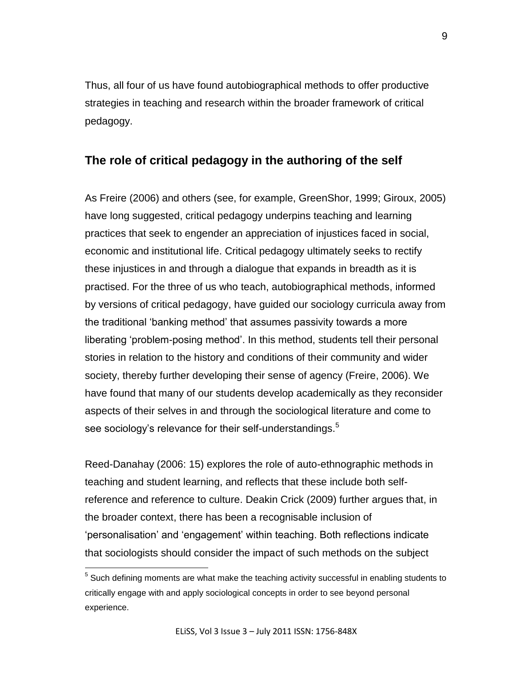Thus, all four of us have found autobiographical methods to offer productive strategies in teaching and research within the broader framework of critical pedagogy.

# **The role of critical pedagogy in the authoring of the self**

As Freire (2006) and others (see, for example, GreenShor, 1999; Giroux, 2005) have long suggested, critical pedagogy underpins teaching and learning practices that seek to engender an appreciation of injustices faced in social, economic and institutional life. Critical pedagogy ultimately seeks to rectify these injustices in and through a dialogue that expands in breadth as it is practised. For the three of us who teach, autobiographical methods, informed by versions of critical pedagogy, have guided our sociology curricula away from the traditional "banking method" that assumes passivity towards a more liberating "problem-posing method". In this method, students tell their personal stories in relation to the history and conditions of their community and wider society, thereby further developing their sense of agency (Freire, 2006). We have found that many of our students develop academically as they reconsider aspects of their selves in and through the sociological literature and come to see sociology's relevance for their self-understandings.<sup>5</sup>

Reed-Danahay (2006: 15) explores the role of auto-ethnographic methods in teaching and student learning, and reflects that these include both selfreference and reference to culture. Deakin Crick (2009) further argues that, in the broader context, there has been a recognisable inclusion of "personalisation" and "engagement" within teaching. Both reflections indicate that sociologists should consider the impact of such methods on the subject

 $5$  Such defining moments are what make the teaching activity successful in enabling students to critically engage with and apply sociological concepts in order to see beyond personal experience.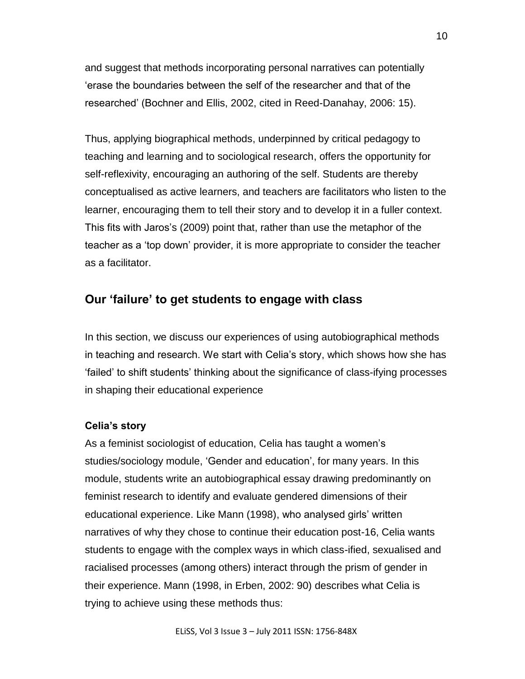and suggest that methods incorporating personal narratives can potentially "erase the boundaries between the self of the researcher and that of the researched" (Bochner and Ellis, 2002, cited in Reed-Danahay, 2006: 15).

Thus, applying biographical methods, underpinned by critical pedagogy to teaching and learning and to sociological research, offers the opportunity for self-reflexivity, encouraging an authoring of the self. Students are thereby conceptualised as active learners, and teachers are facilitators who listen to the learner, encouraging them to tell their story and to develop it in a fuller context. This fits with Jaros"s (2009) point that, rather than use the metaphor of the teacher as a "top down" provider, it is more appropriate to consider the teacher as a facilitator.

# **Our 'failure' to get students to engage with class**

In this section, we discuss our experiences of using autobiographical methods in teaching and research. We start with Celia"s story, which shows how she has "failed" to shift students" thinking about the significance of class-ifying processes in shaping their educational experience

#### **Celia's story**

As a feminist sociologist of education, Celia has taught a women's studies/sociology module, "Gender and education", for many years. In this module, students write an autobiographical essay drawing predominantly on feminist research to identify and evaluate gendered dimensions of their educational experience. Like Mann (1998), who analysed girls' written narratives of why they chose to continue their education post-16, Celia wants students to engage with the complex ways in which class-ified, sexualised and racialised processes (among others) interact through the prism of gender in their experience. Mann (1998, in Erben, 2002: 90) describes what Celia is trying to achieve using these methods thus: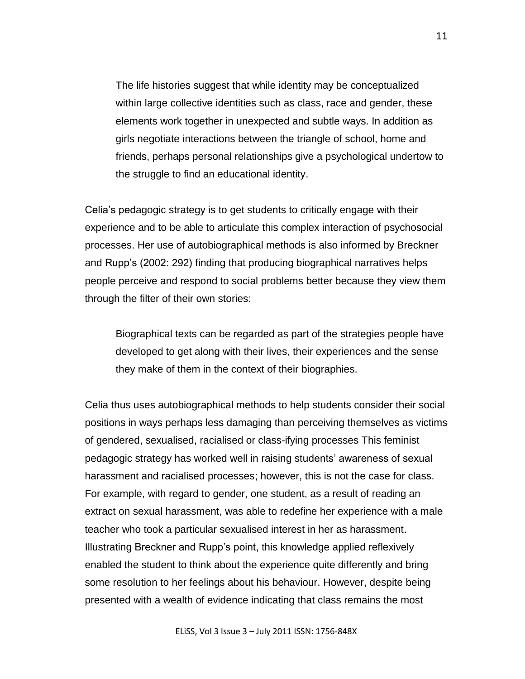The life histories suggest that while identity may be conceptualized within large collective identities such as class, race and gender, these elements work together in unexpected and subtle ways. In addition as girls negotiate interactions between the triangle of school, home and friends, perhaps personal relationships give a psychological undertow to the struggle to find an educational identity.

Celia"s pedagogic strategy is to get students to critically engage with their experience and to be able to articulate this complex interaction of psychosocial processes. Her use of autobiographical methods is also informed by Breckner and Rupp"s (2002: 292) finding that producing biographical narratives helps people perceive and respond to social problems better because they view them through the filter of their own stories:

Biographical texts can be regarded as part of the strategies people have developed to get along with their lives, their experiences and the sense they make of them in the context of their biographies.

Celia thus uses autobiographical methods to help students consider their social positions in ways perhaps less damaging than perceiving themselves as victims of gendered, sexualised, racialised or class-ifying processes This feminist pedagogic strategy has worked well in raising students" awareness of sexual harassment and racialised processes; however, this is not the case for class. For example, with regard to gender, one student, as a result of reading an extract on sexual harassment, was able to redefine her experience with a male teacher who took a particular sexualised interest in her as harassment. Illustrating Breckner and Rupp"s point, this knowledge applied reflexively enabled the student to think about the experience quite differently and bring some resolution to her feelings about his behaviour. However, despite being presented with a wealth of evidence indicating that class remains the most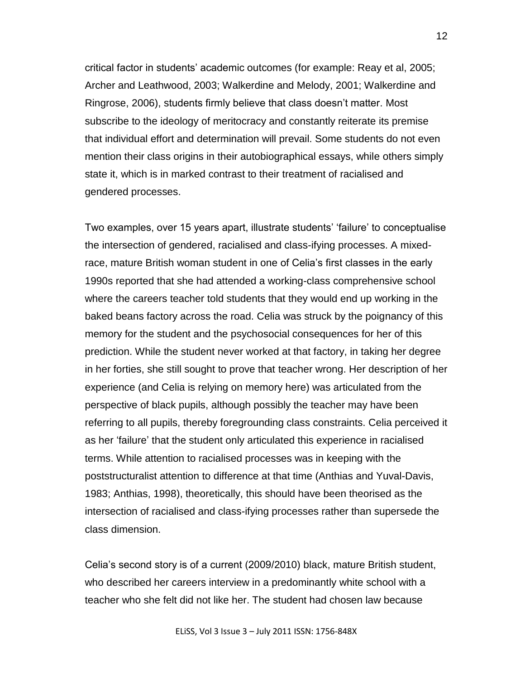critical factor in students" academic outcomes (for example: Reay et al, 2005; Archer and Leathwood, 2003; Walkerdine and Melody, 2001; Walkerdine and Ringrose, 2006), students firmly believe that class doesn"t matter. Most subscribe to the ideology of meritocracy and constantly reiterate its premise that individual effort and determination will prevail. Some students do not even mention their class origins in their autobiographical essays, while others simply state it, which is in marked contrast to their treatment of racialised and gendered processes.

Two examples, over 15 years apart, illustrate students" "failure" to conceptualise the intersection of gendered, racialised and class-ifying processes. A mixedrace, mature British woman student in one of Celia"s first classes in the early 1990s reported that she had attended a working-class comprehensive school where the careers teacher told students that they would end up working in the baked beans factory across the road. Celia was struck by the poignancy of this memory for the student and the psychosocial consequences for her of this prediction. While the student never worked at that factory, in taking her degree in her forties, she still sought to prove that teacher wrong. Her description of her experience (and Celia is relying on memory here) was articulated from the perspective of black pupils, although possibly the teacher may have been referring to all pupils, thereby foregrounding class constraints. Celia perceived it as her 'failure' that the student only articulated this experience in racialised terms. While attention to racialised processes was in keeping with the poststructuralist attention to difference at that time (Anthias and Yuval-Davis, 1983; Anthias, 1998), theoretically, this should have been theorised as the intersection of racialised and class-ifying processes rather than supersede the class dimension.

Celia"s second story is of a current (2009/2010) black, mature British student, who described her careers interview in a predominantly white school with a teacher who she felt did not like her. The student had chosen law because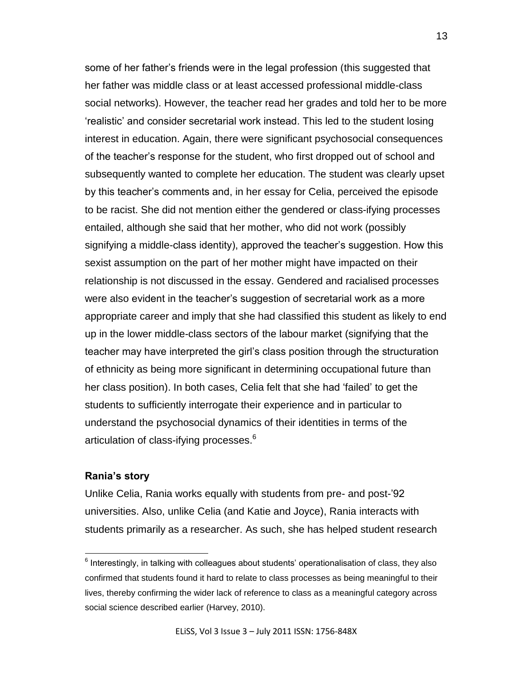some of her father"s friends were in the legal profession (this suggested that her father was middle class or at least accessed professional middle-class social networks). However, the teacher read her grades and told her to be more "realistic" and consider secretarial work instead. This led to the student losing interest in education. Again, there were significant psychosocial consequences of the teacher"s response for the student, who first dropped out of school and subsequently wanted to complete her education. The student was clearly upset by this teacher"s comments and, in her essay for Celia, perceived the episode to be racist. She did not mention either the gendered or class-ifying processes entailed, although she said that her mother, who did not work (possibly signifying a middle-class identity), approved the teacher's suggestion. How this sexist assumption on the part of her mother might have impacted on their relationship is not discussed in the essay. Gendered and racialised processes were also evident in the teacher's suggestion of secretarial work as a more appropriate career and imply that she had classified this student as likely to end up in the lower middle-class sectors of the labour market (signifying that the teacher may have interpreted the girl"s class position through the structuration of ethnicity as being more significant in determining occupational future than her class position). In both cases, Celia felt that she had "failed" to get the students to sufficiently interrogate their experience and in particular to understand the psychosocial dynamics of their identities in terms of the articulation of class-ifying processes.<sup>6</sup>

#### **Rania's story**

 $\overline{a}$ 

Unlike Celia, Rania works equally with students from pre- and post-"92 universities. Also, unlike Celia (and Katie and Joyce), Rania interacts with students primarily as a researcher. As such, she has helped student research

 $<sup>6</sup>$  Interestingly, in talking with colleagues about students' operationalisation of class, they also</sup> confirmed that students found it hard to relate to class processes as being meaningful to their lives, thereby confirming the wider lack of reference to class as a meaningful category across social science described earlier (Harvey, 2010).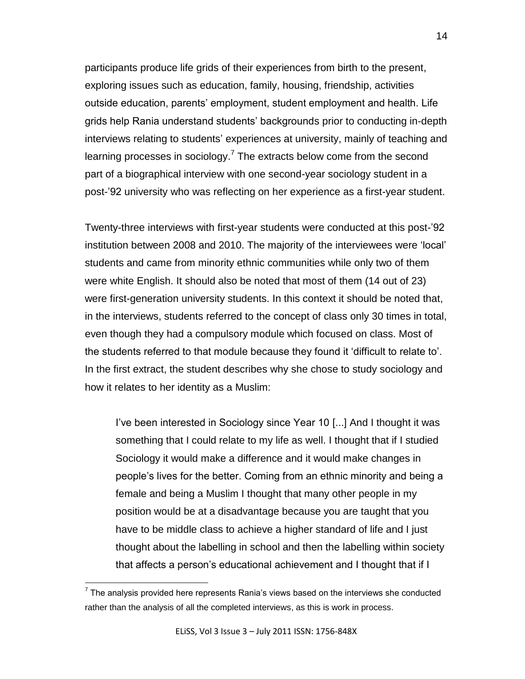participants produce life grids of their experiences from birth to the present, exploring issues such as education, family, housing, friendship, activities outside education, parents' employment, student employment and health. Life grids help Rania understand students" backgrounds prior to conducting in-depth interviews relating to students' experiences at university, mainly of teaching and learning processes in sociology.<sup>7</sup> The extracts below come from the second part of a biographical interview with one second-year sociology student in a post-"92 university who was reflecting on her experience as a first-year student.

Twenty-three interviews with first-year students were conducted at this post-"92 institution between 2008 and 2010. The majority of the interviewees were "local" students and came from minority ethnic communities while only two of them were white English. It should also be noted that most of them (14 out of 23) were first-generation university students. In this context it should be noted that, in the interviews, students referred to the concept of class only 30 times in total, even though they had a compulsory module which focused on class. Most of the students referred to that module because they found it "difficult to relate to". In the first extract, the student describes why she chose to study sociology and how it relates to her identity as a Muslim:

I"ve been interested in Sociology since Year 10 [...] And I thought it was something that I could relate to my life as well. I thought that if I studied Sociology it would make a difference and it would make changes in people"s lives for the better. Coming from an ethnic minority and being a female and being a Muslim I thought that many other people in my position would be at a disadvantage because you are taught that you have to be middle class to achieve a higher standard of life and I just thought about the labelling in school and then the labelling within society that affects a person"s educational achievement and I thought that if I

 $7$  The analysis provided here represents Rania's views based on the interviews she conducted rather than the analysis of all the completed interviews, as this is work in process.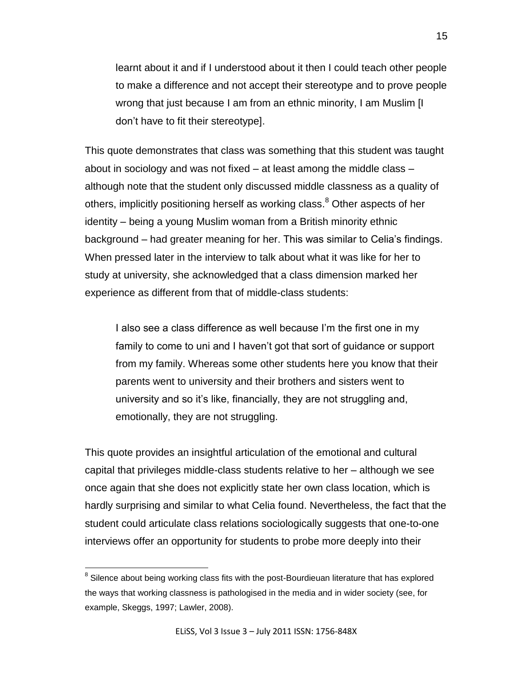learnt about it and if I understood about it then I could teach other people to make a difference and not accept their stereotype and to prove people wrong that just because I am from an ethnic minority, I am Muslim [I don"t have to fit their stereotype].

This quote demonstrates that class was something that this student was taught about in sociology and was not fixed – at least among the middle class – although note that the student only discussed middle classness as a quality of others, implicitly positioning herself as working class.<sup>8</sup> Other aspects of her identity – being a young Muslim woman from a British minority ethnic background – had greater meaning for her. This was similar to Celia"s findings. When pressed later in the interview to talk about what it was like for her to study at university, she acknowledged that a class dimension marked her experience as different from that of middle-class students:

I also see a class difference as well because I'm the first one in my family to come to uni and I haven"t got that sort of guidance or support from my family. Whereas some other students here you know that their parents went to university and their brothers and sisters went to university and so it"s like, financially, they are not struggling and, emotionally, they are not struggling.

This quote provides an insightful articulation of the emotional and cultural capital that privileges middle-class students relative to her – although we see once again that she does not explicitly state her own class location, which is hardly surprising and similar to what Celia found. Nevertheless, the fact that the student could articulate class relations sociologically suggests that one-to-one interviews offer an opportunity for students to probe more deeply into their

 $8$  Silence about being working class fits with the post-Bourdieuan literature that has explored the ways that working classness is pathologised in the media and in wider society (see, for example, Skeggs, 1997; Lawler, 2008).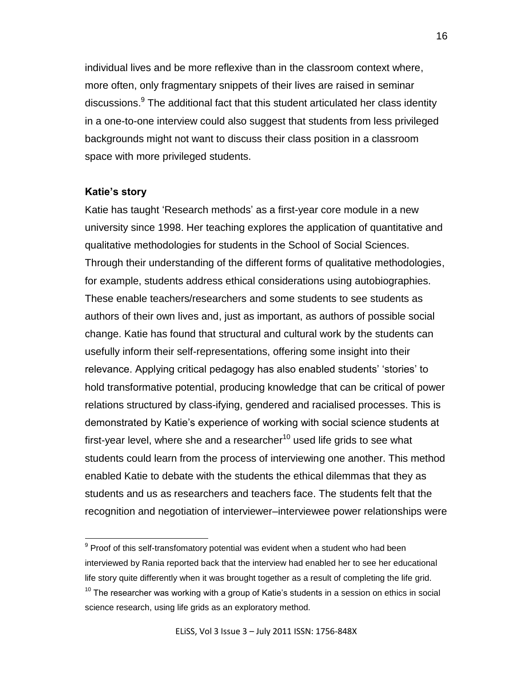individual lives and be more reflexive than in the classroom context where, more often, only fragmentary snippets of their lives are raised in seminar discussions.<sup>9</sup> The additional fact that this student articulated her class identity in a one-to-one interview could also suggest that students from less privileged backgrounds might not want to discuss their class position in a classroom space with more privileged students.

#### **Katie's story**

 $\overline{a}$ 

Katie has taught "Research methods" as a first-year core module in a new university since 1998. Her teaching explores the application of quantitative and qualitative methodologies for students in the School of Social Sciences. Through their understanding of the different forms of qualitative methodologies, for example, students address ethical considerations using autobiographies. These enable teachers/researchers and some students to see students as authors of their own lives and, just as important, as authors of possible social change. Katie has found that structural and cultural work by the students can usefully inform their self-representations, offering some insight into their relevance. Applying critical pedagogy has also enabled students' 'stories' to hold transformative potential, producing knowledge that can be critical of power relations structured by class-ifying, gendered and racialised processes. This is demonstrated by Katie"s experience of working with social science students at first-year level, where she and a researcher $10$  used life grids to see what students could learn from the process of interviewing one another. This method enabled Katie to debate with the students the ethical dilemmas that they as students and us as researchers and teachers face. The students felt that the recognition and negotiation of interviewer–interviewee power relationships were

 $9$  Proof of this self-transfomatory potential was evident when a student who had been interviewed by Rania reported back that the interview had enabled her to see her educational life story quite differently when it was brought together as a result of completing the life grid.

 $10$  The researcher was working with a group of Katie's students in a session on ethics in social science research, using life grids as an exploratory method.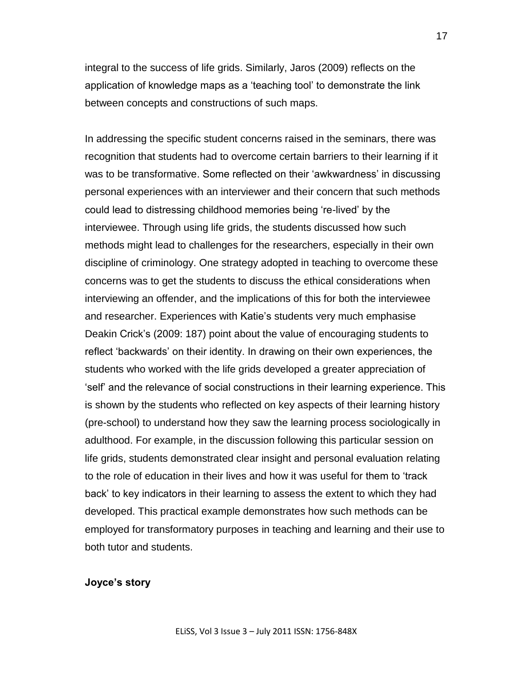integral to the success of life grids. Similarly, Jaros (2009) reflects on the application of knowledge maps as a "teaching tool" to demonstrate the link between concepts and constructions of such maps.

In addressing the specific student concerns raised in the seminars, there was recognition that students had to overcome certain barriers to their learning if it was to be transformative. Some reflected on their 'awkwardness' in discussing personal experiences with an interviewer and their concern that such methods could lead to distressing childhood memories being "re-lived" by the interviewee. Through using life grids, the students discussed how such methods might lead to challenges for the researchers, especially in their own discipline of criminology. One strategy adopted in teaching to overcome these concerns was to get the students to discuss the ethical considerations when interviewing an offender, and the implications of this for both the interviewee and researcher. Experiences with Katie's students very much emphasise Deakin Crick"s (2009: 187) point about the value of encouraging students to reflect "backwards" on their identity. In drawing on their own experiences, the students who worked with the life grids developed a greater appreciation of "self" and the relevance of social constructions in their learning experience. This is shown by the students who reflected on key aspects of their learning history (pre-school) to understand how they saw the learning process sociologically in adulthood. For example, in the discussion following this particular session on life grids, students demonstrated clear insight and personal evaluation relating to the role of education in their lives and how it was useful for them to "track back" to key indicators in their learning to assess the extent to which they had developed. This practical example demonstrates how such methods can be employed for transformatory purposes in teaching and learning and their use to both tutor and students.

#### **Joyce's story**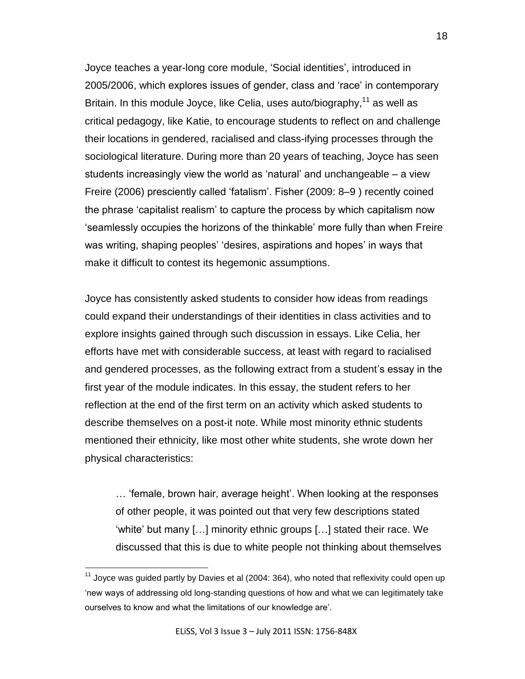Joyce teaches a year-long core module, "Social identities", introduced in 2005/2006, which explores issues of gender, class and "race" in contemporary Britain. In this module Joyce, like Celia, uses auto/biography,<sup>11</sup> as well as critical pedagogy, like Katie, to encourage students to reflect on and challenge their locations in gendered, racialised and class-ifying processes through the sociological literature. During more than 20 years of teaching, Joyce has seen students increasingly view the world as "natural" and unchangeable – a view Freire (2006) presciently called "fatalism". Fisher (2009: 8–9 ) recently coined the phrase "capitalist realism" to capture the process by which capitalism now "seamlessly occupies the horizons of the thinkable" more fully than when Freire was writing, shaping peoples' 'desires, aspirations and hopes' in ways that make it difficult to contest its hegemonic assumptions.

Joyce has consistently asked students to consider how ideas from readings could expand their understandings of their identities in class activities and to explore insights gained through such discussion in essays. Like Celia, her efforts have met with considerable success, at least with regard to racialised and gendered processes, as the following extract from a student's essay in the first year of the module indicates. In this essay, the student refers to her reflection at the end of the first term on an activity which asked students to describe themselves on a post-it note. While most minority ethnic students mentioned their ethnicity, like most other white students, she wrote down her physical characteristics:

… "female, brown hair, average height". When looking at the responses of other people, it was pointed out that very few descriptions stated "white" but many [...] minority ethnic groups [...] stated their race. We discussed that this is due to white people not thinking about themselves

 $11$  Joyce was guided partly by Davies et al (2004: 364), who noted that reflexivity could open up "new ways of addressing old long-standing questions of how and what we can legitimately take ourselves to know and what the limitations of our knowledge are'.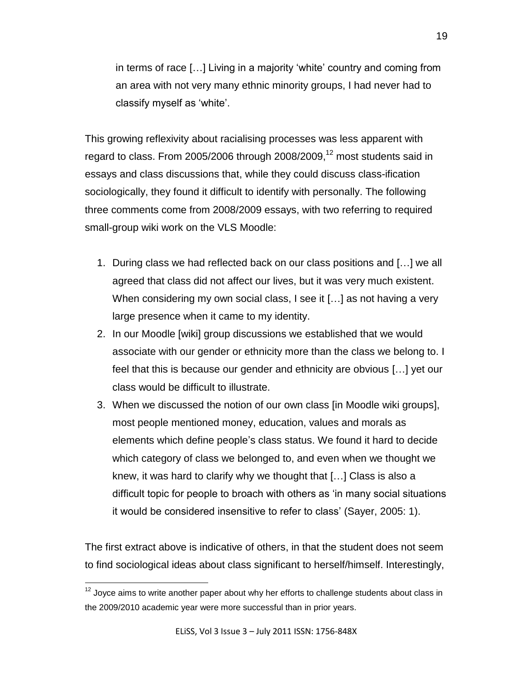in terms of race [...] Living in a majority 'white' country and coming from an area with not very many ethnic minority groups, I had never had to classify myself as "white".

This growing reflexivity about racialising processes was less apparent with regard to class. From 2005/2006 through 2008/2009, $12$  most students said in essays and class discussions that, while they could discuss class-ification sociologically, they found it difficult to identify with personally. The following three comments come from 2008/2009 essays, with two referring to required small-group wiki work on the VLS Moodle:

- 1. During class we had reflected back on our class positions and […] we all agreed that class did not affect our lives, but it was very much existent. When considering my own social class, I see it [...] as not having a very large presence when it came to my identity.
- 2. In our Moodle [wiki] group discussions we established that we would associate with our gender or ethnicity more than the class we belong to. I feel that this is because our gender and ethnicity are obvious […] yet our class would be difficult to illustrate.
- 3. When we discussed the notion of our own class [in Moodle wiki groups], most people mentioned money, education, values and morals as elements which define people"s class status. We found it hard to decide which category of class we belonged to, and even when we thought we knew, it was hard to clarify why we thought that […] Class is also a difficult topic for people to broach with others as "in many social situations it would be considered insensitive to refer to class" (Sayer, 2005: 1).

The first extract above is indicative of others, in that the student does not seem to find sociological ideas about class significant to herself/himself. Interestingly,

 $12$  Joyce aims to write another paper about why her efforts to challenge students about class in the 2009/2010 academic year were more successful than in prior years.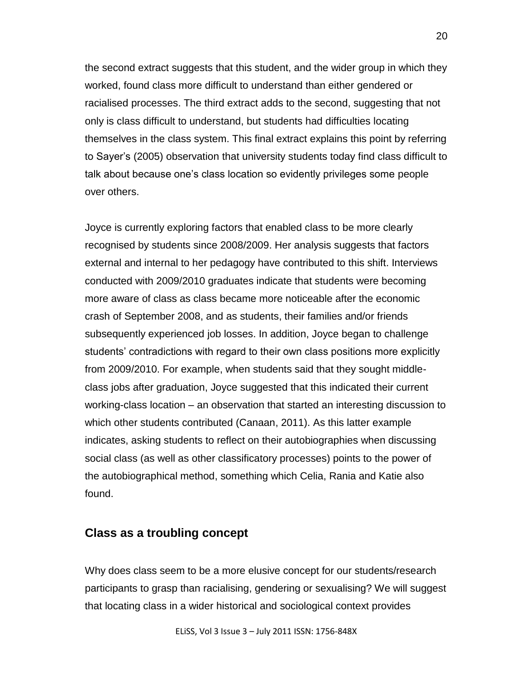the second extract suggests that this student, and the wider group in which they worked, found class more difficult to understand than either gendered or racialised processes. The third extract adds to the second, suggesting that not only is class difficult to understand, but students had difficulties locating themselves in the class system. This final extract explains this point by referring to Sayer"s (2005) observation that university students today find class difficult to talk about because one"s class location so evidently privileges some people over others.

Joyce is currently exploring factors that enabled class to be more clearly recognised by students since 2008/2009. Her analysis suggests that factors external and internal to her pedagogy have contributed to this shift. Interviews conducted with 2009/2010 graduates indicate that students were becoming more aware of class as class became more noticeable after the economic crash of September 2008, and as students, their families and/or friends subsequently experienced job losses. In addition, Joyce began to challenge students" contradictions with regard to their own class positions more explicitly from 2009/2010. For example, when students said that they sought middleclass jobs after graduation, Joyce suggested that this indicated their current working-class location – an observation that started an interesting discussion to which other students contributed (Canaan, 2011). As this latter example indicates, asking students to reflect on their autobiographies when discussing social class (as well as other classificatory processes) points to the power of the autobiographical method, something which Celia, Rania and Katie also found.

## **Class as a troubling concept**

Why does class seem to be a more elusive concept for our students/research participants to grasp than racialising, gendering or sexualising? We will suggest that locating class in a wider historical and sociological context provides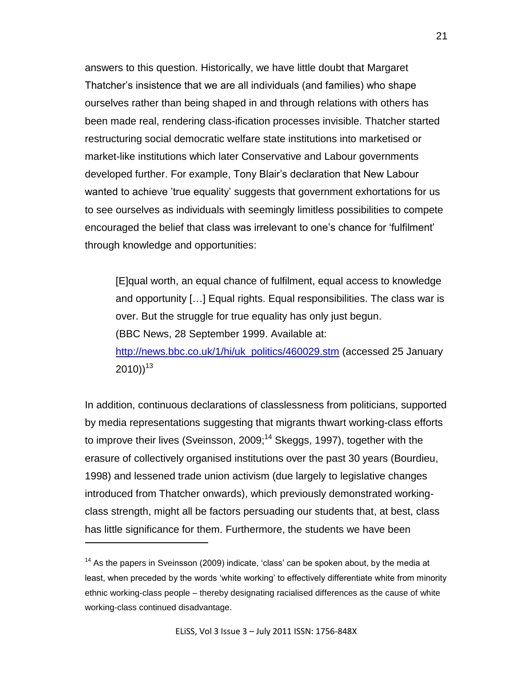answers to this question. Historically, we have little doubt that Margaret Thatcher"s insistence that we are all individuals (and families) who shape ourselves rather than being shaped in and through relations with others has been made real, rendering class-ification processes invisible. Thatcher started restructuring social democratic welfare state institutions into marketised or market-like institutions which later Conservative and Labour governments developed further. For example, Tony Blair"s declaration that New Labour wanted to achieve 'true equality' suggests that government exhortations for us to see ourselves as individuals with seemingly limitless possibilities to compete encouraged the belief that class was irrelevant to one"s chance for "fulfilment" through knowledge and opportunities:

[E]qual worth, an equal chance of fulfilment, equal access to knowledge and opportunity […] Equal rights. Equal responsibilities. The class war is over. But the struggle for true equality has only just begun. (BBC News, 28 September 1999. Available at: [http://news.bbc.co.uk/1/hi/uk\\_politics/460029.stm](http://news.bbc.co.uk/1/hi/uk_politics/460029.stm) (accessed 25 January  $2010)$ ) $^{13}$ 

In addition, continuous declarations of classlessness from politicians, supported by media representations suggesting that migrants thwart working-class efforts to improve their lives (Sveinsson, 2009;<sup>14</sup> Skeggs, 1997), together with the erasure of collectively organised institutions over the past 30 years (Bourdieu, 1998) and lessened trade union activism (due largely to legislative changes introduced from Thatcher onwards), which previously demonstrated workingclass strength, might all be factors persuading our students that, at best, class has little significance for them. Furthermore, the students we have been

 $14$  As the papers in Sveinsson (2009) indicate, 'class' can be spoken about, by the media at least, when preceded by the words "white working" to effectively differentiate white from minority ethnic working-class people – thereby designating racialised differences as the cause of white working-class continued disadvantage.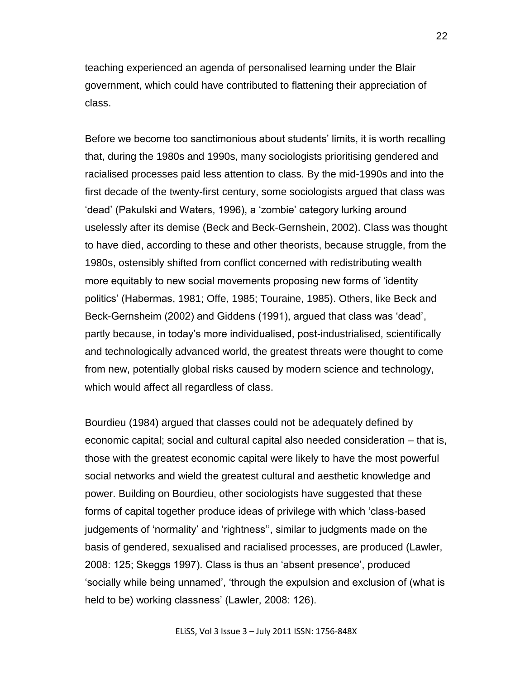teaching experienced an agenda of personalised learning under the Blair government, which could have contributed to flattening their appreciation of class.

Before we become too sanctimonious about students' limits, it is worth recalling that, during the 1980s and 1990s, many sociologists prioritising gendered and racialised processes paid less attention to class. By the mid-1990s and into the first decade of the twenty-first century, some sociologists argued that class was "dead" (Pakulski and Waters, 1996), a "zombie" category lurking around uselessly after its demise (Beck and Beck-Gernshein, 2002). Class was thought to have died, according to these and other theorists, because struggle, from the 1980s, ostensibly shifted from conflict concerned with redistributing wealth more equitably to new social movements proposing new forms of "identity politics" (Habermas, 1981; Offe, 1985; Touraine, 1985). Others, like Beck and Beck-Gernsheim (2002) and Giddens (1991), argued that class was "dead", partly because, in today"s more individualised, post-industrialised, scientifically and technologically advanced world, the greatest threats were thought to come from new, potentially global risks caused by modern science and technology, which would affect all regardless of class.

Bourdieu (1984) argued that classes could not be adequately defined by economic capital; social and cultural capital also needed consideration – that is, those with the greatest economic capital were likely to have the most powerful social networks and wield the greatest cultural and aesthetic knowledge and power. Building on Bourdieu, other sociologists have suggested that these forms of capital together produce ideas of privilege with which "class-based judgements of 'normality' and 'rightness'', similar to judgments made on the basis of gendered, sexualised and racialised processes, are produced (Lawler, 2008: 125; Skeggs 1997). Class is thus an "absent presence", produced "socially while being unnamed", "through the expulsion and exclusion of (what is held to be) working classness' (Lawler, 2008: 126).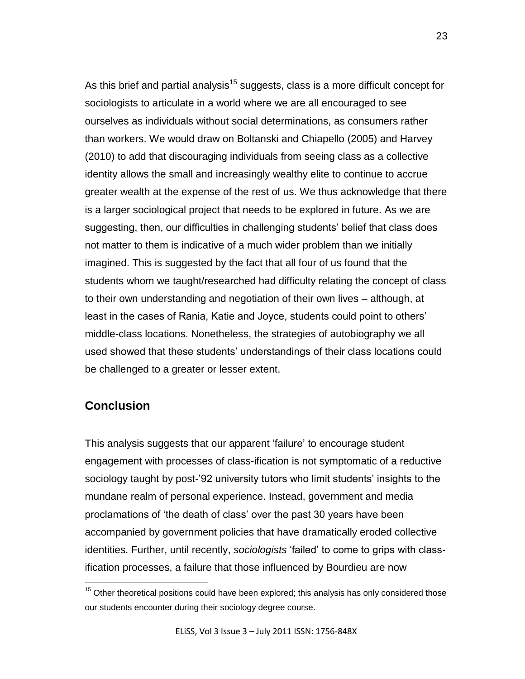As this brief and partial analysis<sup>15</sup> suggests, class is a more difficult concept for sociologists to articulate in a world where we are all encouraged to see ourselves as individuals without social determinations, as consumers rather than workers. We would draw on Boltanski and Chiapello (2005) and Harvey (2010) to add that discouraging individuals from seeing class as a collective identity allows the small and increasingly wealthy elite to continue to accrue greater wealth at the expense of the rest of us. We thus acknowledge that there is a larger sociological project that needs to be explored in future. As we are suggesting, then, our difficulties in challenging students' belief that class does not matter to them is indicative of a much wider problem than we initially imagined. This is suggested by the fact that all four of us found that the students whom we taught/researched had difficulty relating the concept of class to their own understanding and negotiation of their own lives – although, at least in the cases of Rania, Katie and Joyce, students could point to others" middle-class locations. Nonetheless, the strategies of autobiography we all used showed that these students" understandings of their class locations could be challenged to a greater or lesser extent.

## **Conclusion**

 $\overline{a}$ 

This analysis suggests that our apparent "failure" to encourage student engagement with processes of class-ification is not symptomatic of a reductive sociology taught by post-'92 university tutors who limit students' insights to the mundane realm of personal experience. Instead, government and media proclamations of "the death of class" over the past 30 years have been accompanied by government policies that have dramatically eroded collective identities. Further, until recently, *sociologists* "failed" to come to grips with classification processes, a failure that those influenced by Bourdieu are now

 $15$  Other theoretical positions could have been explored; this analysis has only considered those our students encounter during their sociology degree course.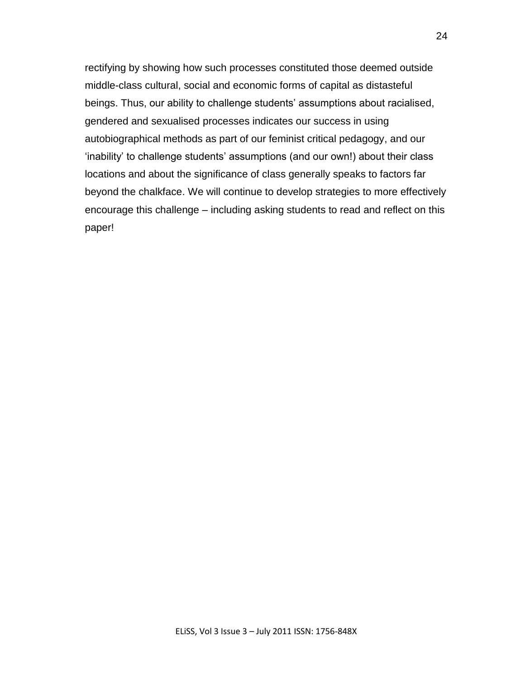rectifying by showing how such processes constituted those deemed outside middle-class cultural, social and economic forms of capital as distasteful beings. Thus, our ability to challenge students' assumptions about racialised, gendered and sexualised processes indicates our success in using autobiographical methods as part of our feminist critical pedagogy, and our "inability" to challenge students" assumptions (and our own!) about their class locations and about the significance of class generally speaks to factors far beyond the chalkface. We will continue to develop strategies to more effectively encourage this challenge – including asking students to read and reflect on this paper!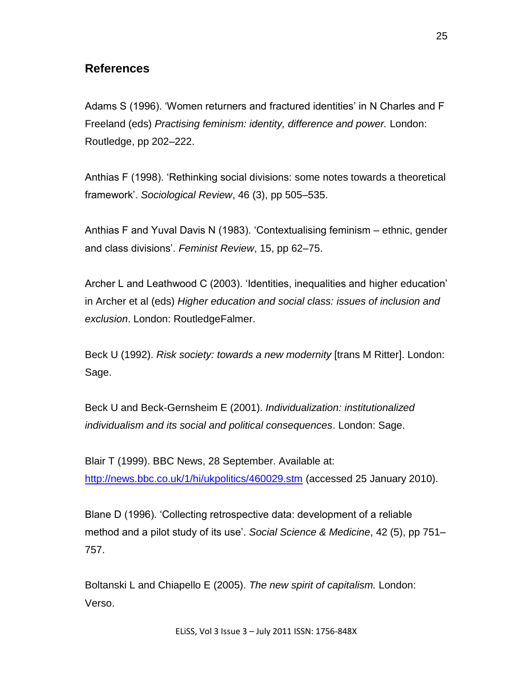# **References**

Adams S (1996). "Women returners and fractured identities" in N Charles and F Freeland (eds) *Practising feminism: identity, difference and power.* London: Routledge, pp 202–222.

Anthias F (1998). "Rethinking social divisions: some notes towards a theoretical framework". *Sociological Review*, 46 (3), pp 505–535.

Anthias F and Yuval Davis N (1983). "Contextualising feminism – ethnic, gender and class divisions". *Feminist Review*, 15, pp 62–75.

Archer L and Leathwood C (2003). "Identities, inequalities and higher education" in Archer et al (eds) *Higher education and social class: issues of inclusion and exclusion*. London: RoutledgeFalmer.

Beck U (1992). *Risk society: towards a new modernity* [trans M Ritter]. London: Sage.

Beck U and Beck-Gernsheim E (2001). *Individualization: institutionalized individualism and its social and political consequences*. London: Sage.

Blair T (1999). BBC News, 28 September. Available at: <http://news.bbc.co.uk/1/hi/ukpolitics/460029.stm> (accessed 25 January 2010).

Blane D (1996). "Collecting retrospective data: development of a reliable method and a pilot study of its use'. *Social Science & Medicine*, 42 (5), pp 751– 757.

Boltanski L and Chiapello E (2005). *The new spirit of capitalism.* London: Verso.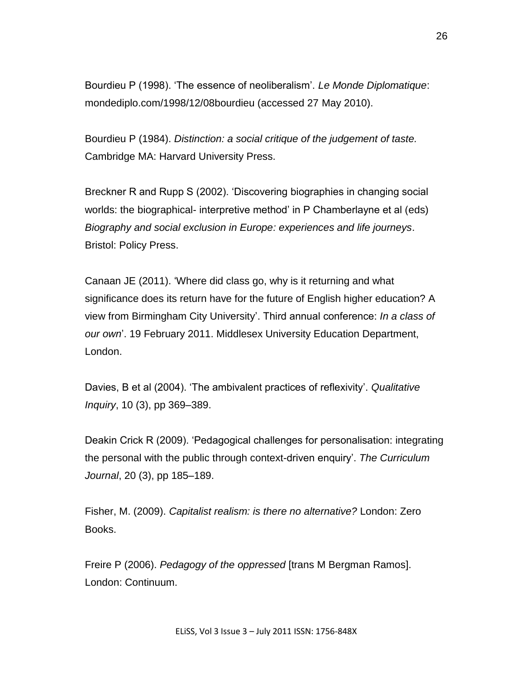Bourdieu P (1998). "The essence of neoliberalism". *Le Monde Diplomatique*: mondediplo.com/1998/12/08bourdieu (accessed 27 May 2010).

Bourdieu P (1984). *Distinction: a social critique of the judgement of taste.* Cambridge MA: Harvard University Press.

Breckner R and Rupp S (2002). "Discovering biographies in changing social worlds: the biographical- interpretive method" in P Chamberlayne et al (eds) *Biography and social exclusion in Europe: experiences and life journeys*. Bristol: Policy Press.

Canaan JE (2011). "Where did class go, why is it returning and what significance does its return have for the future of English higher education? A view from Birmingham City University". Third annual conference: *In a class of our own*". 19 February 2011. Middlesex University Education Department, London.

Davies, B et al (2004). "The ambivalent practices of reflexivity". *Qualitative Inquiry*, 10 (3), pp 369–389.

Deakin Crick R (2009). "Pedagogical challenges for personalisation: integrating the personal with the public through context-driven enquiry". *The Curriculum Journal*, 20 (3), pp 185–189.

Fisher, M. (2009). *Capitalist realism: is there no alternative?* London: Zero Books.

Freire P (2006). *Pedagogy of the oppressed* [trans M Bergman Ramos]. London: Continuum.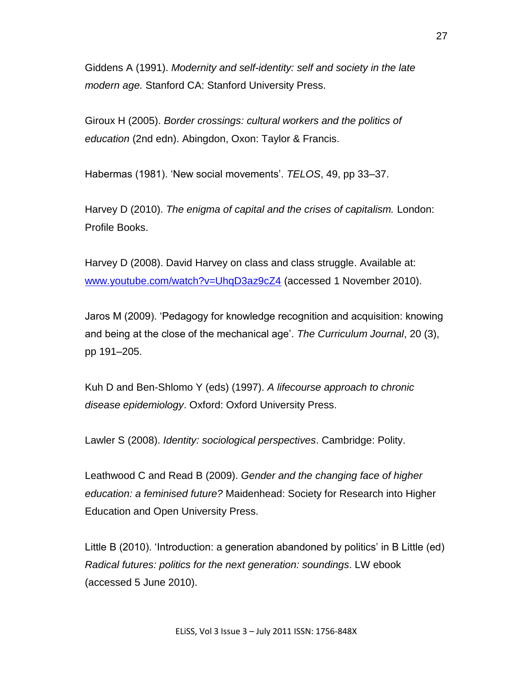Giddens A (1991). *Modernity and self-identity: self and society in the late modern age.* Stanford CA: Stanford University Press.

Giroux H (2005). *Border crossings: cultural workers and the politics of education* (2nd edn). Abingdon, Oxon: Taylor & Francis.

Habermas (1981). "New social movements". *TELOS*, 49, pp 33–37.

Harvey D (2010). *The enigma of capital and the crises of capitalism.* London: Profile Books.

Harvey D (2008). David Harvey on class and class struggle. Available at: [www.youtube.com/watch?v=UhqD3az9cZ4](http://www.youtube.com/watch?v=UhqD3az9cZ4) (accessed 1 November 2010).

Jaros M (2009). "Pedagogy for knowledge recognition and acquisition: knowing and being at the close of the mechanical age". *The Curriculum Journal*, 20 (3), pp 191–205.

Kuh D and Ben-Shlomo Y (eds) (1997). *A lifecourse approach to chronic disease epidemiology*. Oxford: Oxford University Press.

Lawler S (2008). *Identity: sociological perspectives*. Cambridge: Polity.

Leathwood C and Read B (2009). *Gender and the changing face of higher education: a feminised future?* Maidenhead: Society for Research into Higher Education and Open University Press.

Little B (2010). 'Introduction: a generation abandoned by politics' in B Little (ed) *Radical futures: politics for the next generation: soundings*. LW ebook (accessed 5 June 2010).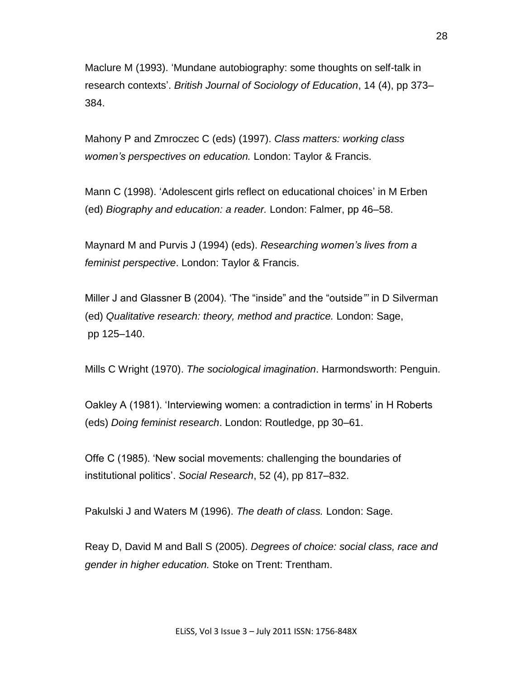Maclure M (1993). "Mundane autobiography: some thoughts on self-talk in research contexts". *British Journal of Sociology of Education*, 14 (4), pp 373– 384.

Mahony P and Zmroczec C (eds) (1997). *Class matters: working class women's perspectives on education.* London: Taylor & Francis.

Mann C (1998). "Adolescent girls reflect on educational choices" in M Erben (ed) *Biography and education: a reader.* London: Falmer, pp 46–58.

Maynard M and Purvis J (1994) (eds). *Researching women's lives from a feminist perspective*. London: Taylor & Francis.

Miller J and Glassner B (2004). "The "inside" and the "outside*"'* in D Silverman (ed) *Qualitative research: theory, method and practice.* London: Sage, pp 125–140.

Mills C Wright (1970). *The sociological imagination*. Harmondsworth: Penguin.

Oakley A (1981). "Interviewing women: a contradiction in terms" in H Roberts (eds) *Doing feminist research*. London: Routledge, pp 30–61.

Offe C (1985). "New social movements: challenging the boundaries of institutional politics". *Social Research*, 52 (4), pp 817–832.

Pakulski J and Waters M (1996). *The death of class.* London: Sage.

Reay D, David M and Ball S (2005). *Degrees of choice: social class, race and gender in higher education.* Stoke on Trent: Trentham.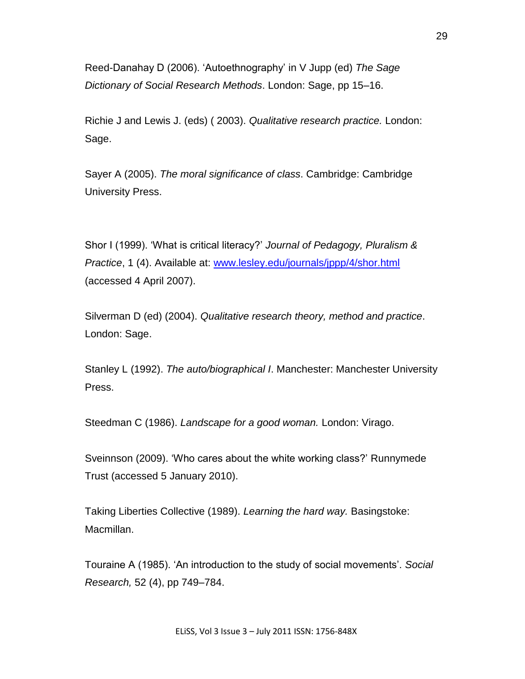Reed-Danahay D (2006). "Autoethnography" in V Jupp (ed) *The Sage Dictionary of Social Research Methods*. London: Sage, pp 15–16.

Richie J and Lewis J. (eds) ( 2003). *Qualitative research practice.* London: Sage.

Sayer A (2005). *The moral significance of class*. Cambridge: Cambridge University Press.

Shor I (1999). "What is critical literacy?" *Journal of Pedagogy, Pluralism & Practice*, 1 (4). Available at: [www.lesley.edu/journals/jppp/4/shor.html](http://www.lesley.edu/journals/jppp/4/shor.html) (accessed 4 April 2007).

Silverman D (ed) (2004). *Qualitative research theory, method and practice*. London: Sage.

Stanley L (1992). *The auto/biographical I*. Manchester: Manchester University Press.

Steedman C (1986). *Landscape for a good woman.* London: Virago.

Sveinnson (2009). "Who cares about the white working class?" Runnymede Trust (accessed 5 January 2010).

Taking Liberties Collective (1989). *Learning the hard way.* Basingstoke: Macmillan.

Touraine A (1985). "An introduction to the study of social movements". *Social Research,* 52 (4), pp 749–784.